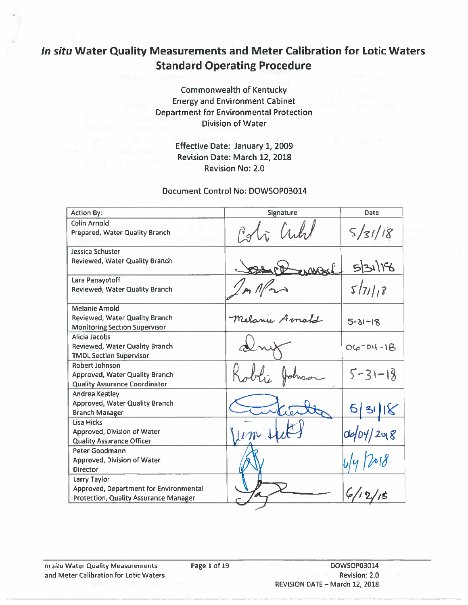# In situ Water Quality Measurements and Meter Calibration for Lotic Waters **Standard Operating Procedure**

**Commonwealth of Kentucky Energy and Environment Cabinet Department for Environmental Protection Division of Water** 

> Effective Date: January 1, 2009 Revision Date: March 12, 2018 **Revision No: 2.0**

#### Document Control No: DOWSOP03014

| <b>Action By:</b>                                                      | Signature             | Date           |
|------------------------------------------------------------------------|-----------------------|----------------|
| Colin Arnold                                                           |                       |                |
| Prepared, Water Quality Branch                                         | Està Cubil            | S/31/18        |
| Jessica Schuster                                                       |                       |                |
| Reviewed, Water Quality Branch                                         | sol<br>D-10           | 5/31/18        |
| Lara Panayotoff                                                        |                       |                |
| Reviewed, Water Quality Branch                                         |                       | 5/71/8         |
| <b>Melanie Arnold</b>                                                  |                       |                |
| Reviewed, Water Quality Branch<br><b>Monitoring Section Supervisor</b> | Melanie Arnold        | $5 - 31 - 18$  |
| Alicia Jacobs                                                          |                       |                |
| Reviewed, Water Quality Branch                                         |                       | $06 - 04 - 18$ |
| <b>TMDL Section Supervisor</b>                                         |                       |                |
| <b>Robert Johnson</b>                                                  |                       |                |
| Approved, Water Quality Branch                                         | $\mathcal{U}_{d\tau}$ | $5 - 31 - 18$  |
| <b>Quality Assurance Coordinator</b>                                   |                       |                |
| Andrea Keatley                                                         |                       |                |
| Approved, Water Quality Branch<br><b>Branch Manager</b>                |                       | 5 31 8         |
| Lisa Hicks                                                             |                       |                |
| Approved, Division of Water                                            |                       | $d$ o/04/298   |
| <b>Quality Assurance Officer</b>                                       |                       |                |
| Peter Goodmann                                                         |                       |                |
| Approved, Division of Water<br><b>Director</b>                         |                       |                |
| Larry Taylor                                                           |                       |                |
| Approved, Department for Environmental                                 |                       |                |
| <b>Protection, Quality Assurance Manager</b>                           |                       | //ร            |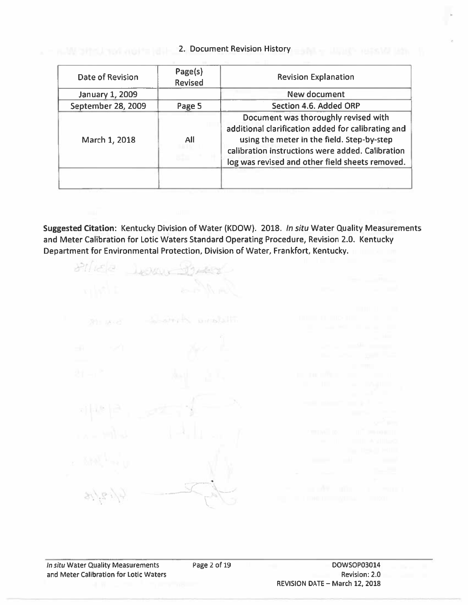#### 2. Document Revision History

| Date of Revision   | Page(s)<br><b>Revised</b> | <b>Revision Explanation</b>                                                                                                                                                                                                                     |  |  |  |  |  |  |  |
|--------------------|---------------------------|-------------------------------------------------------------------------------------------------------------------------------------------------------------------------------------------------------------------------------------------------|--|--|--|--|--|--|--|
| January 1, 2009    |                           | New document                                                                                                                                                                                                                                    |  |  |  |  |  |  |  |
| September 28, 2009 | Page 5                    | Section 4.6. Added ORP                                                                                                                                                                                                                          |  |  |  |  |  |  |  |
| March 1, 2018      | All                       | Document was thoroughly revised with<br>additional clarification added for calibrating and<br>using the meter in the field. Step-by-step<br>calibration instructions were added. Calibration<br>log was revised and other field sheets removed. |  |  |  |  |  |  |  |
|                    |                           |                                                                                                                                                                                                                                                 |  |  |  |  |  |  |  |

Suggested Citation: Kentucky Division of Water (KDOW). 2018. In situ Water Quality Measurements and Meter Calibration for Lotic Waters Standard Operating Procedure, Revision 2.0. Kentucky Department for Environmental Protection, Division of Water, Frankfort, Kentucky.

 $87/162$ JUENCY - 1748 Laterta problem **SHIP EXILLAR**  $6/19.1/15$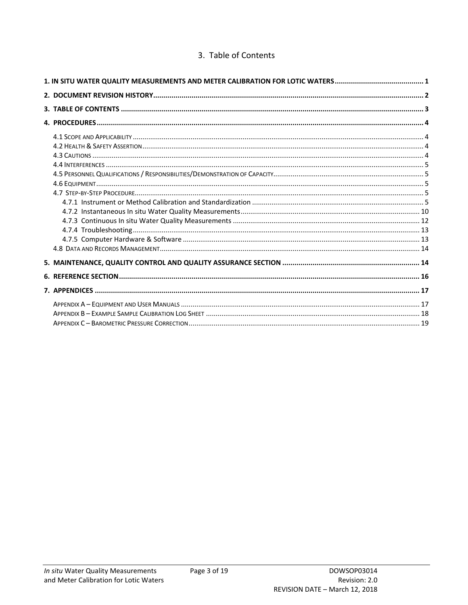#### 3. Table of Contents

<span id="page-2-0"></span>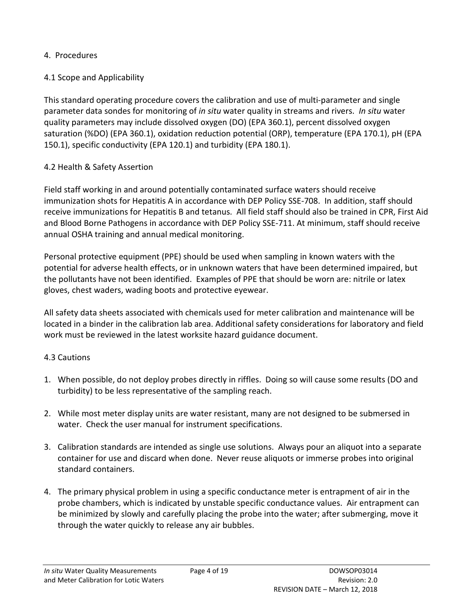#### <span id="page-3-0"></span>4. Procedures

#### <span id="page-3-1"></span>4.1 Scope and Applicability

This standard operating procedure covers the calibration and use of multi-parameter and single parameter data sondes for monitoring of *in situ* water quality in streams and rivers. *In situ* water quality parameters may include dissolved oxygen (DO) (EPA 360.1), percent dissolved oxygen saturation (%DO) (EPA 360.1), oxidation reduction potential (ORP), temperature (EPA 170.1), pH (EPA 150.1), specific conductivity (EPA 120.1) and turbidity (EPA 180.1).

#### <span id="page-3-2"></span>4.2 Health & Safety Assertion

Field staff working in and around potentially contaminated surface waters should receive immunization shots for Hepatitis A in accordance with DEP Policy SSE-708. In addition, staff should receive immunizations for Hepatitis B and tetanus. All field staff should also be trained in CPR, First Aid and Blood Borne Pathogens in accordance with DEP Policy SSE-711. At minimum, staff should receive annual OSHA training and annual medical monitoring.

Personal protective equipment (PPE) should be used when sampling in known waters with the potential for adverse health effects, or in unknown waters that have been determined impaired, but the pollutants have not been identified. Examples of PPE that should be worn are: nitrile or latex gloves, chest waders, wading boots and protective eyewear.

All safety data sheets associated with chemicals used for meter calibration and maintenance will be located in a binder in the calibration lab area. Additional safety considerations for laboratory and field work must be reviewed in the latest worksite hazard guidance document.

#### <span id="page-3-3"></span>4.3 Cautions

- 1. When possible, do not deploy probes directly in riffles. Doing so will cause some results (DO and turbidity) to be less representative of the sampling reach.
- 2. While most meter display units are water resistant, many are not designed to be submersed in water. Check the user manual for instrument specifications.
- 3. Calibration standards are intended as single use solutions. Always pour an aliquot into a separate container for use and discard when done. Never reuse aliquots or immerse probes into original standard containers.
- 4. The primary physical problem in using a specific conductance meter is entrapment of air in the probe chambers, which is indicated by unstable specific conductance values. Air entrapment can be minimized by slowly and carefully placing the probe into the water; after submerging, move it through the water quickly to release any air bubbles.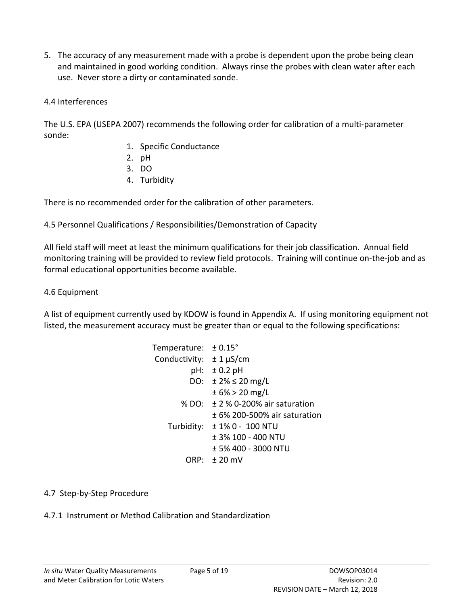5. The accuracy of any measurement made with a probe is dependent upon the probe being clean and maintained in good working condition. Always rinse the probes with clean water after each use. Never store a dirty or contaminated sonde.

#### <span id="page-4-0"></span>4.4 Interferences

The U.S. EPA (USEPA 2007) recommends the following order for calibration of a multi-parameter sonde:

- 1. Specific Conductance
- 2. pH
- 3. DO
- 4. Turbidity

There is no recommended order for the calibration of other parameters.

<span id="page-4-1"></span>4.5 Personnel Qualifications / Responsibilities/Demonstration of Capacity

All field staff will meet at least the minimum qualifications for their job classification. Annual field monitoring training will be provided to review field protocols. Training will continue on-the-job and as formal educational opportunities become available.

#### <span id="page-4-2"></span>4.6 Equipment

A list of equipment currently used by KDOW is found in Appendix A. If using monitoring equipment not listed, the measurement accuracy must be greater than or equal to the following specifications:

| Temperature: $\pm 0.15^{\circ}$ |                                       |
|---------------------------------|---------------------------------------|
| Conductivity: $\pm 1 \mu S/cm$  |                                       |
|                                 | $pH: \pm 0.2 pH$                      |
|                                 | DO: $\pm 2\% \leq 20$ mg/L            |
|                                 | $\pm$ 6% > 20 mg/L                    |
|                                 | % DO: $\pm 2$ % 0-200% air saturation |
|                                 | $+6\%$ 200-500% air saturation        |
|                                 | Turbidity: $\pm$ 1% 0 - 100 NTU       |
|                                 | $±$ 3% 100 - 400 NTU                  |
|                                 | + 5% 400 - 3000 NTU                   |
|                                 | $RP: \pm 20$ mV                       |

#### <span id="page-4-3"></span>4.7 Step-by-Step Procedure

<span id="page-4-4"></span>4.7.1 Instrument or Method Calibration and Standardization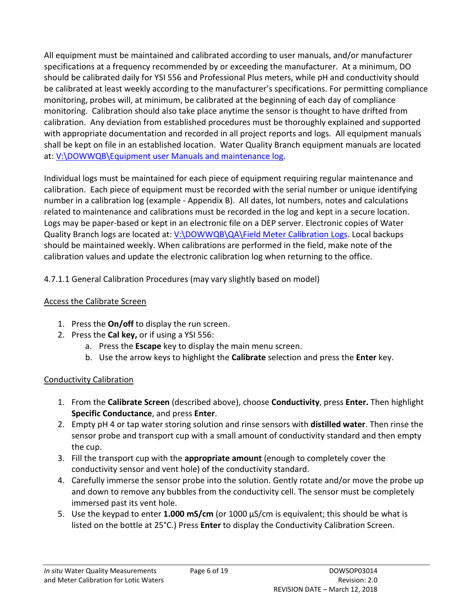All equipment must be maintained and calibrated according to user manuals, and/or manufacturer specifications at a frequency recommended by or exceeding the manufacturer. At a minimum, DO should be calibrated daily for YSI 556 and Professional Plus meters, while pH and conductivity should be calibrated at least weekly according to the manufacturer's specifications. For permitting compliance monitoring, probes will, at minimum, be calibrated at the beginning of each day of compliance monitoring. Calibration should also take place anytime the sensor is thought to have drifted from calibration. Any deviation from established procedures must be thoroughly explained and supported with appropriate documentation and recorded in all project reports and logs. All equipment manuals shall be kept on file in an established location. Water Quality Branch equipment manuals are located at: [V:\DOWWQB\Equipment user Manuals and maintenance log.](file://eas.ds.ky.gov/dfs/eec-dep-dow/j_drive/sharedworkingfolders/DOWWORKS/DOWWQB/Equipment%20user%20Manuals%20and%20maintenance%20log)

Individual logs must be maintained for each piece of equipment requiring regular maintenance and calibration. Each piece of equipment must be recorded with the serial number or unique identifying number in a calibration log (example - Appendix B). All dates, lot numbers, notes and calculations related to maintenance and calibrations must be recorded in the log and kept in a secure location. Logs may be paper-based or kept in an electronic file on a DEP server. Electronic copies of Water Quality Branch logs are located at[: V:\DOWWQB\QA\Field Meter Calibration Logs.](file://eas.ds.ky.gov/dfs/eec-dep-dow/j_drive/sharedworkingfolders/DOWWORKS/DOWWQB/QA/Field%20Meter%20Calibration%20Logs) Local backups should be maintained weekly. When calibrations are performed in the field, make note of the calibration values and update the electronic calibration log when returning to the office.

# 4.7.1.1 General Calibration Procedures (may vary slightly based on model)

# Access the Calibrate Screen

- 1. Press the **On/off** to display the run screen.
- 2. Press the **Cal key,** or if using a YSI 556:
	- a. Press the **Escape** key to display the main menu screen.
	- b. Use the arrow keys to highlight the **Calibrate** selection and press the **Enter** key.

# Conductivity Calibration

- 1. From the **Calibrate Screen** (described above), choose **Conductivity**, press **Enter.** Then highlight **Specific Conductance**, and press **Enter**.
- 2. Empty pH 4 or tap water storing solution and rinse sensors with **distilled water**. Then rinse the sensor probe and transport cup with a small amount of conductivity standard and then empty the cup.
- 3. Fill the transport cup with the **appropriate amount** (enough to completely cover the conductivity sensor and vent hole) of the conductivity standard.
- 4. Carefully immerse the sensor probe into the solution. Gently rotate and/or move the probe up and down to remove any bubbles from the conductivity cell. The sensor must be completely immersed past its vent hole.
- 5. Use the keypad to enter **1.000 mS/cm** (or 1000 μS/cm is equivalent; this should be what is listed on the bottle at 25°C.) Press **Enter** to display the Conductivity Calibration Screen.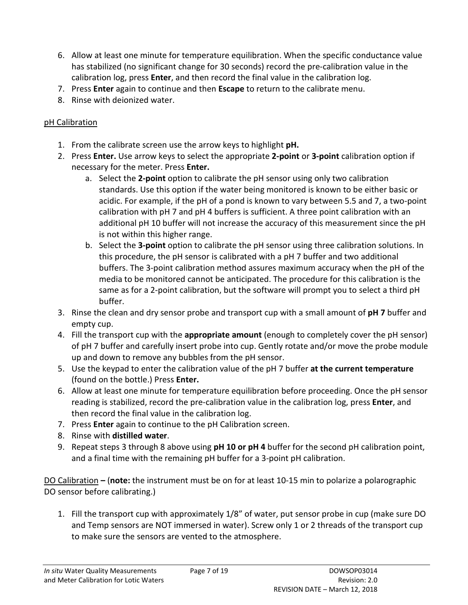- 6. Allow at least one minute for temperature equilibration. When the specific conductance value has stabilized (no significant change for 30 seconds) record the pre-calibration value in the calibration log, press **Enter**, and then record the final value in the calibration log.
- 7. Press **Enter** again to continue and then **Escape** to return to the calibrate menu.
- 8. Rinse with deionized water.

# pH Calibration

- 1. From the calibrate screen use the arrow keys to highlight **pH.**
- 2. Press **Enter.** Use arrow keys to select the appropriate **2-point** or **3-point** calibration option if necessary for the meter. Press **Enter.** 
	- a. Select the **2-point** option to calibrate the pH sensor using only two calibration standards. Use this option if the water being monitored is known to be either basic or acidic. For example, if the pH of a pond is known to vary between 5.5 and 7, a two-point calibration with pH 7 and pH 4 buffers is sufficient. A three point calibration with an additional pH 10 buffer will not increase the accuracy of this measurement since the pH is not within this higher range.
	- b. Select the **3-point** option to calibrate the pH sensor using three calibration solutions. In this procedure, the pH sensor is calibrated with a pH 7 buffer and two additional buffers. The 3-point calibration method assures maximum accuracy when the pH of the media to be monitored cannot be anticipated. The procedure for this calibration is the same as for a 2-point calibration, but the software will prompt you to select a third pH buffer.
- 3. Rinse the clean and dry sensor probe and transport cup with a small amount of **pH 7** buffer and empty cup.
- 4. Fill the transport cup with the **appropriate amount** (enough to completely cover the pH sensor) of pH 7 buffer and carefully insert probe into cup. Gently rotate and/or move the probe module up and down to remove any bubbles from the pH sensor.
- 5. Use the keypad to enter the calibration value of the pH 7 buffer **at the current temperature**  (found on the bottle.) Press **Enter.**
- 6. Allow at least one minute for temperature equilibration before proceeding. Once the pH sensor reading is stabilized, record the pre-calibration value in the calibration log, press **Enter**, and then record the final value in the calibration log.
- 7. Press **Enter** again to continue to the pH Calibration screen.
- 8. Rinse with **distilled water**.
- 9. Repeat steps 3 through 8 above using **pH 10 or pH 4** buffer for the second pH calibration point, and a final time with the remaining pH buffer for a 3-point pH calibration.

DO Calibration **–** (**note:** the instrument must be on for at least 10-15 min to polarize a polarographic DO sensor before calibrating.)

1. Fill the transport cup with approximately 1/8" of water, put sensor probe in cup (make sure DO and Temp sensors are NOT immersed in water). Screw only 1 or 2 threads of the transport cup to make sure the sensors are vented to the atmosphere.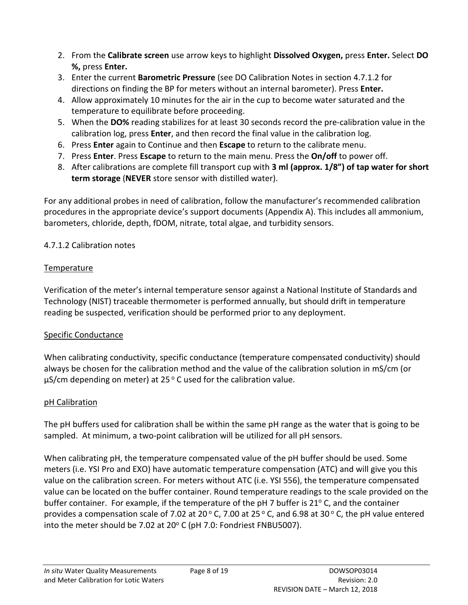- 2. From the **Calibrate screen** use arrow keys to highlight **Dissolved Oxygen,** press **Enter.** Select **DO %,** press **Enter.**
- 3. Enter the current **Barometric Pressure** (see DO Calibration Notes in section 4.7.1.2 for directions on finding the BP for meters without an internal barometer). Press **Enter.**
- 4. Allow approximately 10 minutes for the air in the cup to become water saturated and the temperature to equilibrate before proceeding.
- 5. When the **DO%** reading stabilizes for at least 30 seconds record the pre-calibration value in the calibration log, press **Enter**, and then record the final value in the calibration log.
- 6. Press **Enter** again to Continue and then **Escape** to return to the calibrate menu.
- 7. Press **Enter**. Press **Escape** to return to the main menu. Press the **On/off** to power off.
- 8. After calibrations are complete fill transport cup with **3 ml (approx. 1/8") of tap water for short term storage** (**NEVER** store sensor with distilled water).

For any additional probes in need of calibration, follow the manufacturer's recommended calibration procedures in the appropriate device's support documents (Appendix A). This includes all ammonium, barometers, chloride, depth, fDOM, nitrate, total algae, and turbidity sensors.

# 4.7.1.2 Calibration notes

## Temperature

Verification of the meter's internal temperature sensor against a National Institute of Standards and Technology (NIST) traceable thermometer is performed annually, but should drift in temperature reading be suspected, verification should be performed prior to any deployment.

#### Specific Conductance

When calibrating conductivity, specific conductance (temperature compensated conductivity) should always be chosen for the calibration method and the value of the calibration solution in mS/cm (or  $\mu$ S/cm depending on meter) at 25 °C used for the calibration value.

#### pH Calibration

The pH buffers used for calibration shall be within the same pH range as the water that is going to be sampled. At minimum, a two-point calibration will be utilized for all pH sensors.

When calibrating pH, the temperature compensated value of the pH buffer should be used. Some meters (i.e. YSI Pro and EXO) have automatic temperature compensation (ATC) and will give you this value on the calibration screen. For meters without ATC (i.e. YSI 556), the temperature compensated value can be located on the buffer container. Round temperature readings to the scale provided on the buffer container. For example, if the temperature of the  $pH$  7 buffer is 21 $^{\circ}$  C, and the container provides a compensation scale of 7.02 at 20 $\degree$  C, 7.00 at 25 $\degree$  C, and 6.98 at 30 $\degree$  C, the pH value entered into the meter should be 7.02 at  $20^{\circ}$  C (pH 7.0: Fondriest FNBU5007).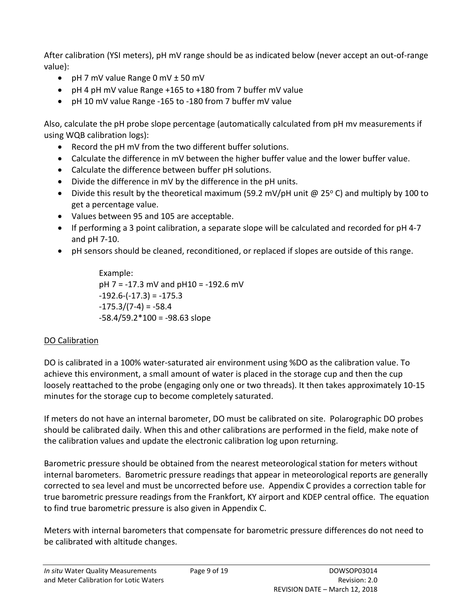After calibration (YSI meters), pH mV range should be as indicated below (never accept an out-of-range value):

- pH 7 mV value Range 0 mV ± 50 mV
- pH 4 pH mV value Range +165 to +180 from 7 buffer mV value
- pH 10 mV value Range -165 to -180 from 7 buffer mV value

Also, calculate the pH probe slope percentage (automatically calculated from pH mv measurements if using WQB calibration logs):

- Record the pH mV from the two different buffer solutions.
- Calculate the difference in mV between the higher buffer value and the lower buffer value.
- Calculate the difference between buffer pH solutions.
- Divide the difference in mV by the difference in the pH units.
- Divide this result by the theoretical maximum (59.2 mV/pH unit  $\omega$  25°C) and multiply by 100 to get a percentage value.
- Values between 95 and 105 are acceptable.
- If performing a 3 point calibration, a separate slope will be calculated and recorded for pH 4-7 and pH 7-10.
- pH sensors should be cleaned, reconditioned, or replaced if slopes are outside of this range.

Example: pH 7 = -17.3 mV and pH10 = -192.6 mV  $-192.6$ <sup> $-(-17.3) = -175.3$ </sup>  $-175.3/(7-4) = -58.4$  $-58.4/59.2*100 = -98.63$  slope

# DO Calibration

DO is calibrated in a 100% water-saturated air environment using %DO as the calibration value. To achieve this environment, a small amount of water is placed in the storage cup and then the cup loosely reattached to the probe (engaging only one or two threads). It then takes approximately 10-15 minutes for the storage cup to become completely saturated.

If meters do not have an internal barometer, DO must be calibrated on site. Polarographic DO probes should be calibrated daily. When this and other calibrations are performed in the field, make note of the calibration values and update the electronic calibration log upon returning.

Barometric pressure should be obtained from the nearest meteorological station for meters without internal barometers. Barometric pressure readings that appear in meteorological reports are generally corrected to sea level and must be uncorrected before use. Appendix C provides a correction table for true barometric pressure readings from the Frankfort, KY airport and KDEP central office. The equation to find true barometric pressure is also given in Appendix C.

Meters with internal barometers that compensate for barometric pressure differences do not need to be calibrated with altitude changes.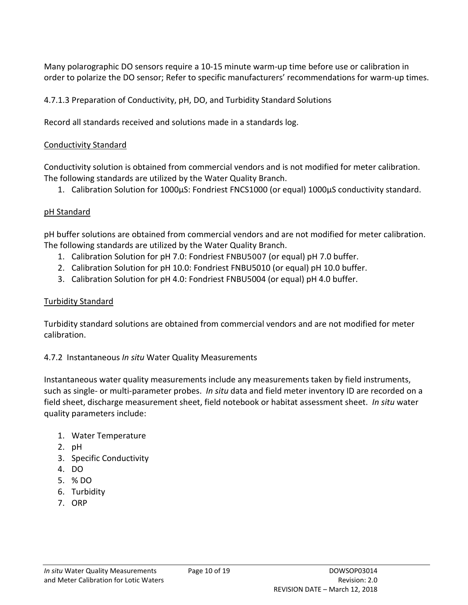Many polarographic DO sensors require a 10-15 minute warm-up time before use or calibration in order to polarize the DO sensor; Refer to specific manufacturers' recommendations for warm-up times.

4.7.1.3 Preparation of Conductivity, pH, DO, and Turbidity Standard Solutions

Record all standards received and solutions made in a standards log.

#### Conductivity Standard

Conductivity solution is obtained from commercial vendors and is not modified for meter calibration. The following standards are utilized by the Water Quality Branch.

1. Calibration Solution for 1000µS: Fondriest FNCS1000 (or equal) 1000µS conductivity standard.

#### pH Standard

pH buffer solutions are obtained from commercial vendors and are not modified for meter calibration. The following standards are utilized by the Water Quality Branch.

- 1. Calibration Solution for pH 7.0: Fondriest FNBU5007 (or equal) pH 7.0 buffer.
- 2. Calibration Solution for pH 10.0: Fondriest FNBU5010 (or equal) pH 10.0 buffer.
- 3. Calibration Solution for pH 4.0: Fondriest FNBU5004 (or equal) pH 4.0 buffer.

#### Turbidity Standard

Turbidity standard solutions are obtained from commercial vendors and are not modified for meter calibration.

#### <span id="page-9-0"></span>4.7.2 Instantaneous *In situ* Water Quality Measurements

Instantaneous water quality measurements include any measurements taken by field instruments, such as single- or multi-parameter probes. *In situ* data and field meter inventory ID are recorded on a field sheet, discharge measurement sheet, field notebook or habitat assessment sheet. *In situ* water quality parameters include:

- 1. Water Temperature
- 2. pH
- 3. Specific Conductivity
- 4. DO
- 5. % DO
- 6. Turbidity
- 7. ORP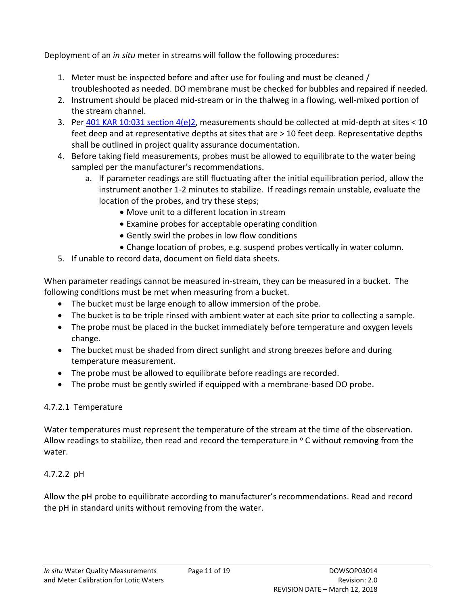Deployment of an *in situ* meter in streams will follow the following procedures:

- 1. Meter must be inspected before and after use for fouling and must be cleaned / troubleshooted as needed. DO membrane must be checked for bubbles and repaired if needed.
- 2. Instrument should be placed mid-stream or in the thalweg in a flowing, well-mixed portion of the stream channel.
- 3. Per 401 KAR 10:031 section  $4(e)2$ , measurements should be collected at mid-depth at sites < 10 feet deep and at representative depths at sites that are > 10 feet deep. Representative depths shall be outlined in project quality assurance documentation.
- 4. Before taking field measurements, probes must be allowed to equilibrate to the water being sampled per the manufacturer's recommendations.
	- a. If parameter readings are still fluctuating after the initial equilibration period, allow the instrument another 1-2 minutes to stabilize. If readings remain unstable, evaluate the location of the probes, and try these steps;
		- Move unit to a different location in stream
		- Examine probes for acceptable operating condition
		- Gently swirl the probes in low flow conditions
		- Change location of probes, e.g. suspend probes vertically in water column.
- 5. If unable to record data, document on field data sheets.

When parameter readings cannot be measured in-stream, they can be measured in a bucket. The following conditions must be met when measuring from a bucket.

- The bucket must be large enough to allow immersion of the probe.
- The bucket is to be triple rinsed with ambient water at each site prior to collecting a sample.
- The probe must be placed in the bucket immediately before temperature and oxygen levels change.
- The bucket must be shaded from direct sunlight and strong breezes before and during temperature measurement.
- The probe must be allowed to equilibrate before readings are recorded.
- The probe must be gently swirled if equipped with a membrane-based DO probe.

# 4.7.2.1 Temperature

Water temperatures must represent the temperature of the stream at the time of the observation. Allow readings to stabilize, then read and record the temperature in  $\circ$  C without removing from the water.

# 4.7.2.2 pH

Allow the pH probe to equilibrate according to manufacturer's recommendations. Read and record the pH in standard units without removing from the water.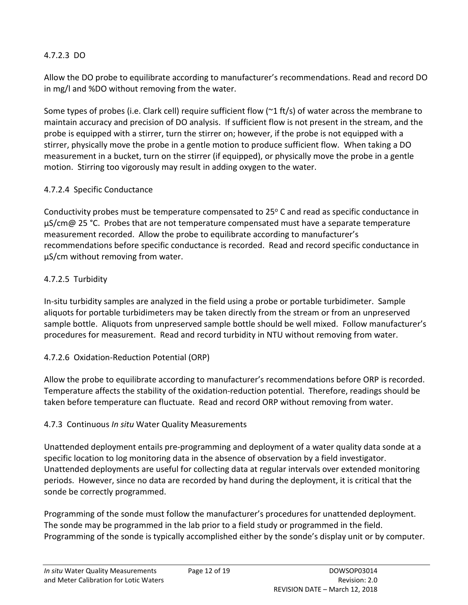### 4.7.2.3 DO

Allow the DO probe to equilibrate according to manufacturer's recommendations. Read and record DO in mg/l and %DO without removing from the water.

Some types of probes (i.e. Clark cell) require sufficient flow ( $\gamma$ 1 ft/s) of water across the membrane to maintain accuracy and precision of DO analysis. If sufficient flow is not present in the stream, and the probe is equipped with a stirrer, turn the stirrer on; however, if the probe is not equipped with a stirrer, physically move the probe in a gentle motion to produce sufficient flow. When taking a DO measurement in a bucket, turn on the stirrer (if equipped), or physically move the probe in a gentle motion. Stirring too vigorously may result in adding oxygen to the water.

#### 4.7.2.4 Specific Conductance

Conductivity probes must be temperature compensated to  $25^{\circ}$  C and read as specific conductance in  $\mu$ S/cm@ 25 °C. Probes that are not temperature compensated must have a separate temperature measurement recorded. Allow the probe to equilibrate according to manufacturer's recommendations before specific conductance is recorded. Read and record specific conductance in µS/cm without removing from water.

## 4.7.2.5 Turbidity

In-situ turbidity samples are analyzed in the field using a probe or portable turbidimeter. Sample aliquots for portable turbidimeters may be taken directly from the stream or from an unpreserved sample bottle. Aliquots from unpreserved sample bottle should be well mixed. Follow manufacturer's procedures for measurement. Read and record turbidity in NTU without removing from water.

# 4.7.2.6 Oxidation-Reduction Potential (ORP)

Allow the probe to equilibrate according to manufacturer's recommendations before ORP is recorded. Temperature affects the stability of the oxidation-reduction potential. Therefore, readings should be taken before temperature can fluctuate. Read and record ORP without removing from water.

# <span id="page-11-0"></span>4.7.3 Continuous *In situ* Water Quality Measurements

Unattended deployment entails pre-programming and deployment of a water quality data sonde at a specific location to log monitoring data in the absence of observation by a field investigator. Unattended deployments are useful for collecting data at regular intervals over extended monitoring periods. However, since no data are recorded by hand during the deployment, it is critical that the sonde be correctly programmed.

Programming of the sonde must follow the manufacturer's procedures for unattended deployment. The sonde may be programmed in the lab prior to a field study or programmed in the field. Programming of the sonde is typically accomplished either by the sonde's display unit or by computer.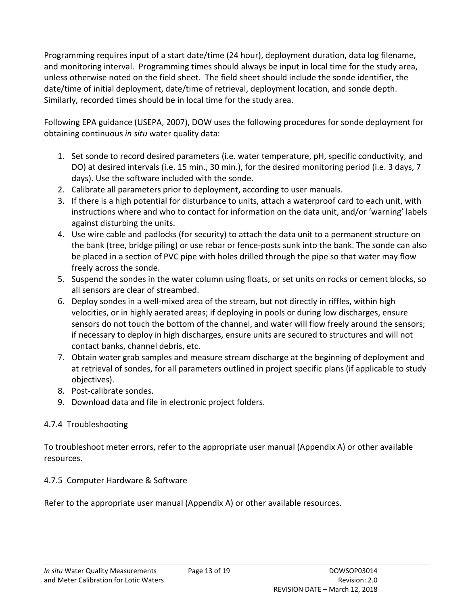Programming requires input of a start date/time (24 hour), deployment duration, data log filename, and monitoring interval. Programming times should always be input in local time for the study area, unless otherwise noted on the field sheet. The field sheet should include the sonde identifier, the date/time of initial deployment, date/time of retrieval, deployment location, and sonde depth. Similarly, recorded times should be in local time for the study area.

Following EPA guidance (USEPA, 2007), DOW uses the following procedures for sonde deployment for obtaining continuous *in situ* water quality data:

- 1. Set sonde to record desired parameters (i.e. water temperature, pH, specific conductivity, and DO) at desired intervals (i.e. 15 min., 30 min.), for the desired monitoring period (i.e. 3 days, 7 days). Use the software included with the sonde.
- 2. Calibrate all parameters prior to deployment, according to user manuals.
- 3. If there is a high potential for disturbance to units, attach a waterproof card to each unit, with instructions where and who to contact for information on the data unit, and/or 'warning' labels against disturbing the units.
- 4. Use wire cable and padlocks (for security) to attach the data unit to a permanent structure on the bank (tree, bridge piling) or use rebar or fence-posts sunk into the bank. The sonde can also be placed in a section of PVC pipe with holes drilled through the pipe so that water may flow freely across the sonde.
- 5. Suspend the sondes in the water column using floats, or set units on rocks or cement blocks, so all sensors are clear of streambed.
- 6. Deploy sondes in a well-mixed area of the stream, but not directly in riffles, within high velocities, or in highly aerated areas; if deploying in pools or during low discharges, ensure sensors do not touch the bottom of the channel, and water will flow freely around the sensors; if necessary to deploy in high discharges, ensure units are secured to structures and will not contact banks, channel debris, etc.
- 7. Obtain water grab samples and measure stream discharge at the beginning of deployment and at retrieval of sondes, for all parameters outlined in project specific plans (if applicable to study objectives).
- 8. Post-calibrate sondes.
- 9. Download data and file in electronic project folders.

# <span id="page-12-0"></span>4.7.4 Troubleshooting

To troubleshoot meter errors, refer to the appropriate user manual (Appendix A) or other available resources.

#### <span id="page-12-1"></span>4.7.5 Computer Hardware & Software

Refer to the appropriate user manual (Appendix A) or other available resources.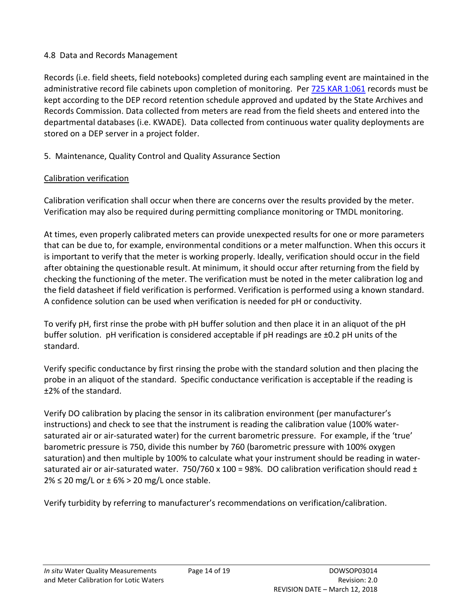#### <span id="page-13-0"></span>4.8 Data and Records Management

Records (i.e. field sheets, field notebooks) completed during each sampling event are maintained in the administrative record file cabinets upon completion of monitoring. Per [725 KAR 1:061](http://www.lrc.ky.gov/kar/725/001/061.htm) records must be kept according to the DEP record retention schedule approved and updated by the State Archives and Records Commission. Data collected from meters are read from the field sheets and entered into the departmental databases (i.e. KWADE). Data collected from continuous water quality deployments are stored on a DEP server in a project folder.

## <span id="page-13-1"></span>5. Maintenance, Quality Control and Quality Assurance Section

#### Calibration verification

Calibration verification shall occur when there are concerns over the results provided by the meter. Verification may also be required during permitting compliance monitoring or TMDL monitoring.

At times, even properly calibrated meters can provide unexpected results for one or more parameters that can be due to, for example, environmental conditions or a meter malfunction. When this occurs it is important to verify that the meter is working properly. Ideally, verification should occur in the field after obtaining the questionable result. At minimum, it should occur after returning from the field by checking the functioning of the meter. The verification must be noted in the meter calibration log and the field datasheet if field verification is performed. Verification is performed using a known standard. A confidence solution can be used when verification is needed for pH or conductivity.

To verify pH, first rinse the probe with pH buffer solution and then place it in an aliquot of the pH buffer solution. pH verification is considered acceptable if pH readings are ±0.2 pH units of the standard.

Verify specific conductance by first rinsing the probe with the standard solution and then placing the probe in an aliquot of the standard. Specific conductance verification is acceptable if the reading is ±2% of the standard.

Verify DO calibration by placing the sensor in its calibration environment (per manufacturer's instructions) and check to see that the instrument is reading the calibration value (100% watersaturated air or air-saturated water) for the current barometric pressure. For example, if the 'true' barometric pressure is 750, divide this number by 760 (barometric pressure with 100% oxygen saturation) and then multiple by 100% to calculate what your instrument should be reading in watersaturated air or air-saturated water. 750/760 x 100 = 98%. DO calibration verification should read  $\pm$  $2\% \leq 20$  mg/L or  $\pm$  6% > 20 mg/L once stable.

Verify turbidity by referring to manufacturer's recommendations on verification/calibration.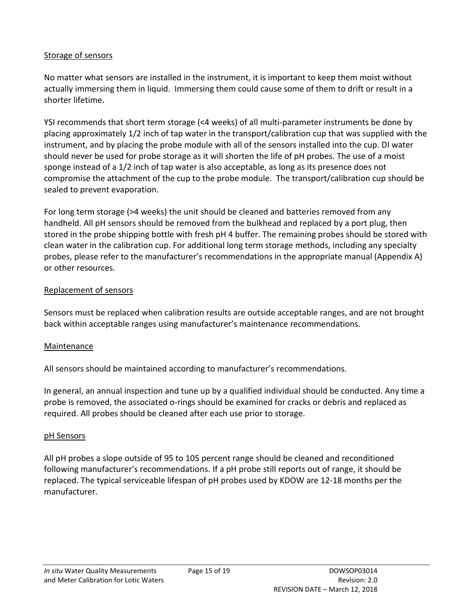#### Storage of sensors

No matter what sensors are installed in the instrument, it is important to keep them moist without actually immersing them in liquid. Immersing them could cause some of them to drift or result in a shorter lifetime.

YSI recommends that short term storage (<4 weeks) of all multi-parameter instruments be done by placing approximately 1/2 inch of tap water in the transport/calibration cup that was supplied with the instrument, and by placing the probe module with all of the sensors installed into the cup. DI water should never be used for probe storage as it will shorten the life of pH probes. The use of a moist sponge instead of a 1/2 inch of tap water is also acceptable, as long as its presence does not compromise the attachment of the cup to the probe module. The transport/calibration cup should be sealed to prevent evaporation.

For long term storage (>4 weeks) the unit should be cleaned and batteries removed from any handheld. All pH sensors should be removed from the bulkhead and replaced by a port plug, then stored in the probe shipping bottle with fresh pH 4 buffer. The remaining probes should be stored with clean water in the calibration cup. For additional long term storage methods, including any specialty probes, please refer to the manufacturer's recommendations in the appropriate manual (Appendix A) or other resources.

#### Replacement of sensors

Sensors must be replaced when calibration results are outside acceptable ranges, and are not brought back within acceptable ranges using manufacturer's maintenance recommendations.

#### Maintenance

All sensors should be maintained according to manufacturer's recommendations.

In general, an annual inspection and tune up by a qualified individual should be conducted. Any time a probe is removed, the associated o-rings should be examined for cracks or debris and replaced as required. All probes should be cleaned after each use prior to storage.

#### pH Sensors

All pH probes a slope outside of 95 to 105 percent range should be cleaned and reconditioned following manufacturer's recommendations. If a pH probe still reports out of range, it should be replaced. The typical serviceable lifespan of pH probes used by KDOW are 12-18 months per the manufacturer.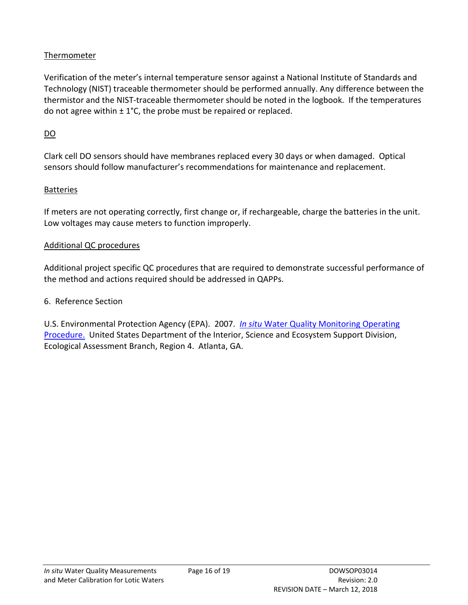#### Thermometer

Verification of the meter's internal temperature sensor against a National Institute of Standards and Technology (NIST) traceable thermometer should be performed annually. Any difference between the thermistor and the NIST-traceable thermometer should be noted in the logbook. If the temperatures do not agree within  $\pm 1^{\circ}$ C, the probe must be repaired or replaced.

# DO

Clark cell DO sensors should have membranes replaced every 30 days or when damaged. Optical sensors should follow manufacturer's recommendations for maintenance and replacement.

## Batteries

If meters are not operating correctly, first change or, if rechargeable, charge the batteries in the unit. Low voltages may cause meters to function improperly.

#### Additional QC procedures

Additional project specific QC procedures that are required to demonstrate successful performance of the method and actions required should be addressed in QAPPs.

#### <span id="page-15-0"></span>6. Reference Section

U.S. Environmental Protection Agency (EPA). 2007. *In situ* [Water Quality Monitoring Operating](https://www.epa.gov/sites/production/files/2015-06/documents/Insitu-Water-Quality-Mon.pdf)  [Procedure.](https://www.epa.gov/sites/production/files/2015-06/documents/Insitu-Water-Quality-Mon.pdf) United States Department of the Interior, Science and Ecosystem Support Division, Ecological Assessment Branch, Region 4. Atlanta, GA.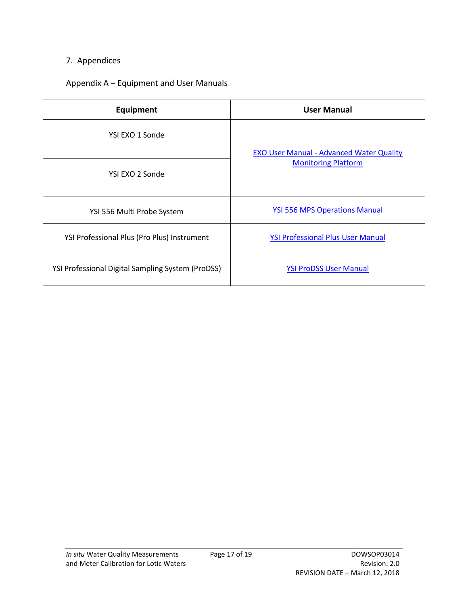## <span id="page-16-0"></span>7. Appendices

### <span id="page-16-1"></span>Appendix A – Equipment and User Manuals

| Equipment                                                | <b>User Manual</b>                                                            |
|----------------------------------------------------------|-------------------------------------------------------------------------------|
| YSI EXO 1 Sonde                                          |                                                                               |
| YSI EXO 2 Sonde                                          | <b>EXO User Manual - Advanced Water Quality</b><br><b>Monitoring Platform</b> |
| YSI 556 Multi Probe System                               | <b>YSI 556 MPS Operations Manual</b>                                          |
| YSI Professional Plus (Pro Plus) Instrument              | <b>YSI Professional Plus User Manual</b>                                      |
| <b>YSI Professional Digital Sampling System (ProDSS)</b> | <b>YSI ProDSS User Manual</b>                                                 |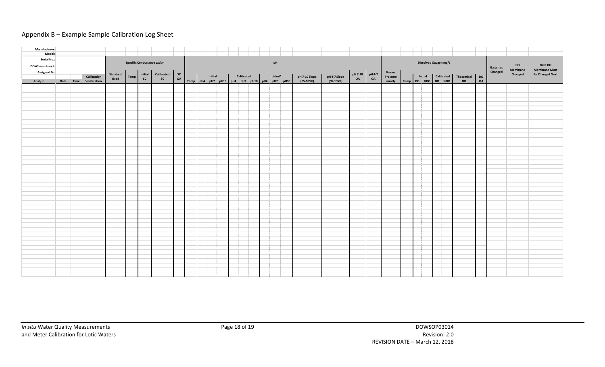#### Appendix B – Example Sample Calibration Log Sheet

<span id="page-17-0"></span>

| Manufacturer:       |  |                        |                                                              |  |  |  |  |                                             |         |  |            |  |      |  |               |              |                                                                                  |          |                                |  |  |                    |           |    |                  |           |                        |
|---------------------|--|------------------------|--------------------------------------------------------------|--|--|--|--|---------------------------------------------|---------|--|------------|--|------|--|---------------|--------------|----------------------------------------------------------------------------------|----------|--------------------------------|--|--|--------------------|-----------|----|------------------|-----------|------------------------|
| Model:              |  |                        |                                                              |  |  |  |  |                                             |         |  |            |  |      |  |               |              |                                                                                  |          |                                |  |  |                    |           |    |                  |           |                        |
| Serial No.:         |  |                        |                                                              |  |  |  |  |                                             |         |  |            |  |      |  |               |              |                                                                                  |          |                                |  |  |                    |           |    |                  |           |                        |
|                     |  |                        | Specific Conductance µs/cm                                   |  |  |  |  | pH                                          |         |  |            |  |      |  |               |              | Dissolved Oxygen mg/L                                                            |          |                                |  |  |                    |           |    |                  |           |                        |
| DOW Inventory #:    |  |                        |                                                              |  |  |  |  |                                             |         |  |            |  |      |  |               |              |                                                                                  |          |                                |  |  |                    |           |    | <b>Batteries</b> | <b>DO</b> | Date DO                |
| <b>Assigned To:</b> |  |                        |                                                              |  |  |  |  |                                             |         |  |            |  |      |  |               |              |                                                                                  | Barom.   |                                |  |  |                    |           |    | Changed          | Membrane  | <b>Membrane Must</b>   |
|                     |  | Calibration            | Initial Calibrated SC<br>SC SC QA<br><b>Standard</b><br>Temp |  |  |  |  |                                             | Initial |  | Calibrated |  | pHmV |  | pH 7-10 Slope | pH 4-7 Slope | $\begin{array}{ c c c }\n\hline\npH7-10 & pH4-7 \\ \hline\nQA & QA\n\end{array}$ | Pressure | Initial Calibrated Theoretical |  |  |                    |           | DO |                  | Changed   | <b>Be Changed Next</b> |
| Analyst             |  | Date Time Verification | Used                                                         |  |  |  |  | Temp pH4 pH7 pH10 pH4 pH7 pH10 pH4 pH7 pH10 |         |  |            |  |      |  | $(95-105%)$   | $(95-105%)$  |                                                                                  | mmHg     |                                |  |  | Temp DO %DO DO %DO | <b>DO</b> | QA |                  |           |                        |
|                     |  |                        |                                                              |  |  |  |  |                                             |         |  |            |  |      |  |               |              |                                                                                  |          |                                |  |  |                    |           |    |                  |           |                        |
|                     |  |                        |                                                              |  |  |  |  |                                             |         |  |            |  |      |  |               |              |                                                                                  |          |                                |  |  |                    |           |    |                  |           |                        |
|                     |  |                        |                                                              |  |  |  |  |                                             |         |  |            |  |      |  |               |              |                                                                                  |          |                                |  |  |                    |           |    |                  |           |                        |
|                     |  |                        |                                                              |  |  |  |  |                                             |         |  |            |  |      |  |               |              |                                                                                  |          |                                |  |  |                    |           |    |                  |           |                        |
|                     |  |                        |                                                              |  |  |  |  |                                             |         |  |            |  |      |  |               |              |                                                                                  |          |                                |  |  |                    |           |    |                  |           |                        |
|                     |  |                        |                                                              |  |  |  |  |                                             |         |  |            |  |      |  |               |              |                                                                                  |          |                                |  |  |                    |           |    |                  |           |                        |
|                     |  |                        |                                                              |  |  |  |  |                                             |         |  |            |  |      |  |               |              |                                                                                  |          |                                |  |  |                    |           |    |                  |           |                        |
|                     |  |                        |                                                              |  |  |  |  |                                             |         |  |            |  |      |  |               |              |                                                                                  |          |                                |  |  |                    |           |    |                  |           |                        |
|                     |  |                        |                                                              |  |  |  |  |                                             |         |  |            |  |      |  |               |              |                                                                                  |          |                                |  |  |                    |           |    |                  |           |                        |
|                     |  |                        |                                                              |  |  |  |  |                                             |         |  |            |  |      |  |               |              |                                                                                  |          |                                |  |  |                    |           |    |                  |           |                        |
|                     |  |                        |                                                              |  |  |  |  |                                             |         |  |            |  |      |  |               |              |                                                                                  |          |                                |  |  |                    |           |    |                  |           |                        |
|                     |  |                        |                                                              |  |  |  |  |                                             |         |  |            |  |      |  |               |              |                                                                                  |          |                                |  |  |                    |           |    |                  |           |                        |
|                     |  |                        |                                                              |  |  |  |  |                                             |         |  |            |  |      |  |               |              |                                                                                  |          |                                |  |  |                    |           |    |                  |           |                        |
|                     |  |                        |                                                              |  |  |  |  |                                             |         |  |            |  |      |  |               |              |                                                                                  |          |                                |  |  |                    |           |    |                  |           |                        |
|                     |  |                        |                                                              |  |  |  |  |                                             |         |  |            |  |      |  |               |              |                                                                                  |          |                                |  |  |                    |           |    |                  |           |                        |
|                     |  |                        |                                                              |  |  |  |  |                                             |         |  |            |  |      |  |               |              |                                                                                  |          |                                |  |  |                    |           |    |                  |           |                        |
|                     |  |                        |                                                              |  |  |  |  |                                             |         |  |            |  |      |  |               |              |                                                                                  |          |                                |  |  |                    |           |    |                  |           |                        |
|                     |  |                        |                                                              |  |  |  |  |                                             |         |  |            |  |      |  |               |              |                                                                                  |          |                                |  |  |                    |           |    |                  |           |                        |
|                     |  |                        |                                                              |  |  |  |  |                                             |         |  |            |  |      |  |               |              |                                                                                  |          |                                |  |  |                    |           |    |                  |           |                        |
|                     |  |                        |                                                              |  |  |  |  |                                             |         |  |            |  |      |  |               |              |                                                                                  |          |                                |  |  |                    |           |    |                  |           |                        |
|                     |  |                        |                                                              |  |  |  |  |                                             |         |  |            |  |      |  |               |              |                                                                                  |          |                                |  |  |                    |           |    |                  |           |                        |
|                     |  |                        |                                                              |  |  |  |  |                                             |         |  |            |  |      |  |               |              |                                                                                  |          |                                |  |  |                    |           |    |                  |           |                        |
|                     |  |                        |                                                              |  |  |  |  |                                             |         |  |            |  |      |  |               |              |                                                                                  |          |                                |  |  |                    |           |    |                  |           |                        |
|                     |  |                        |                                                              |  |  |  |  |                                             |         |  |            |  |      |  |               |              |                                                                                  |          |                                |  |  |                    |           |    |                  |           |                        |
|                     |  |                        |                                                              |  |  |  |  |                                             |         |  |            |  |      |  |               |              |                                                                                  |          |                                |  |  |                    |           |    |                  |           |                        |
|                     |  |                        |                                                              |  |  |  |  |                                             |         |  |            |  |      |  |               |              |                                                                                  |          |                                |  |  |                    |           |    |                  |           |                        |
|                     |  |                        |                                                              |  |  |  |  |                                             |         |  |            |  |      |  |               |              |                                                                                  |          |                                |  |  |                    |           |    |                  |           |                        |
|                     |  |                        |                                                              |  |  |  |  |                                             |         |  |            |  |      |  |               |              |                                                                                  |          |                                |  |  |                    |           |    |                  |           |                        |
|                     |  |                        |                                                              |  |  |  |  |                                             |         |  |            |  |      |  |               |              |                                                                                  |          |                                |  |  |                    |           |    |                  |           |                        |
|                     |  |                        |                                                              |  |  |  |  |                                             |         |  |            |  |      |  |               |              |                                                                                  |          |                                |  |  |                    |           |    |                  |           |                        |
|                     |  |                        |                                                              |  |  |  |  |                                             |         |  |            |  |      |  |               |              |                                                                                  |          |                                |  |  |                    |           |    |                  |           |                        |
|                     |  |                        |                                                              |  |  |  |  |                                             |         |  |            |  |      |  |               |              |                                                                                  |          |                                |  |  |                    |           |    |                  |           |                        |
|                     |  |                        |                                                              |  |  |  |  |                                             |         |  |            |  |      |  |               |              |                                                                                  |          |                                |  |  |                    |           |    |                  |           |                        |
|                     |  |                        |                                                              |  |  |  |  |                                             |         |  |            |  |      |  |               |              |                                                                                  |          |                                |  |  |                    |           |    |                  |           |                        |
|                     |  |                        |                                                              |  |  |  |  |                                             |         |  |            |  |      |  |               |              |                                                                                  |          |                                |  |  |                    |           |    |                  |           |                        |
|                     |  |                        |                                                              |  |  |  |  |                                             |         |  |            |  |      |  |               |              |                                                                                  |          |                                |  |  |                    |           |    |                  |           |                        |
|                     |  |                        |                                                              |  |  |  |  |                                             |         |  |            |  |      |  |               |              |                                                                                  |          |                                |  |  |                    |           |    |                  |           |                        |
|                     |  |                        |                                                              |  |  |  |  |                                             |         |  |            |  |      |  |               |              |                                                                                  |          |                                |  |  |                    |           |    |                  |           |                        |
|                     |  |                        |                                                              |  |  |  |  |                                             |         |  |            |  |      |  |               |              |                                                                                  |          |                                |  |  |                    |           |    |                  |           |                        |
|                     |  |                        |                                                              |  |  |  |  |                                             |         |  |            |  |      |  |               |              |                                                                                  |          |                                |  |  |                    |           |    |                  |           |                        |
|                     |  |                        |                                                              |  |  |  |  |                                             |         |  |            |  |      |  |               |              |                                                                                  |          |                                |  |  |                    |           |    |                  |           |                        |
|                     |  |                        |                                                              |  |  |  |  |                                             |         |  |            |  |      |  |               |              |                                                                                  |          |                                |  |  |                    |           |    |                  |           |                        |
|                     |  |                        |                                                              |  |  |  |  |                                             |         |  |            |  |      |  |               |              |                                                                                  |          |                                |  |  |                    |           |    |                  |           |                        |
|                     |  |                        |                                                              |  |  |  |  |                                             |         |  |            |  |      |  |               |              |                                                                                  |          |                                |  |  |                    |           |    |                  |           |                        |